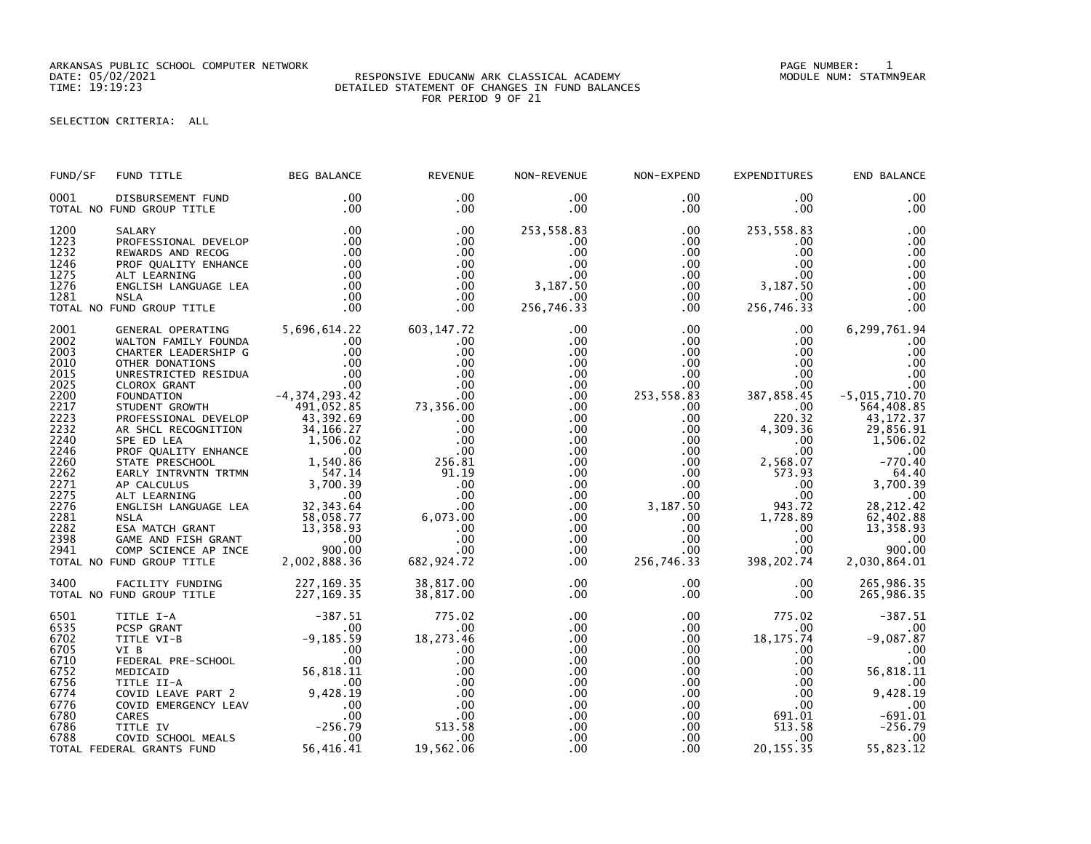ARKANSAS PUBLIC SCHOOL COMPUTER NETWORK PAGE NUMBER: 1

## DATE: 05/02/2021 RESPONSIVE EDUCANW ARK CLASSICAL ACADEMY MODULE NUM: STATMN9EAR TIME: 19:19:23 DETAILED STATEMENT OF CHANGES IN FUND BALANCES FOR PERIOD 9 OF 21

SELECTION CRITERIA: ALL

| FUND/SF | FUND TITLE                                                  | <b>BEG BALANCE</b>      | <b>REVENUE</b>  | NON-REVENUE          | NON-EXPEND           | <b>EXPENDITURES</b>  | END BALANCE     |
|---------|-------------------------------------------------------------|-------------------------|-----------------|----------------------|----------------------|----------------------|-----------------|
| 0001    | DISBURSEMENT FUND<br>TOTAL NO FUND GROUP TITLE              | .00<br>.00              | .00<br>$.00 \,$ | $.00 \,$<br>$.00 \,$ | $.00 \,$<br>$.00 \,$ | $.00 \,$<br>$.00 \,$ | .00<br>.00      |
| 1200    | SALARY                                                      | .00                     | .00             | 253,558.83           | .00                  | 253,558.83           | .00             |
| 1223    | PROFESSIONAL DEVELOP                                        | .00                     | .00.            | $.00 \,$             | $.00 \,$             | $.00 \,$             | .00             |
| 1232    | REWARDS AND RECOG                                           | .00                     | .00             | .00                  | $.00 \,$             | $.00 \,$             | .00             |
| 1246    | PROF QUALITY ENHANCE                                        | .00                     | .00             | .00                  | $.00\,$              | $.00 \,$             | .00             |
| 1275    | ALT LEARNING                                                | .00                     | $.00 \,$        | .00                  | $.00\,$              | $.00 \,$             | .00             |
| 1276    | ENGLISH LANGUAGE LEA                                        | .00                     | $.00 \,$        | 3,187.50             | .00 <sub>1</sub>     | 3,187.50             | .00             |
| 1281    | <b>NSLA</b>                                                 | .00                     | $.00 \,$        | $.00 \,$             | $.00\,$              | $.00\,$              | .00             |
|         | TOTAL NO FUND GROUP TITLE                                   | .00                     | .00             | 256,746.33           | $.00 \,$             | 256,746.33           | .00             |
| 2001    | GENERAL OPERATING 5,696,614.22                              |                         | 603, 147.72     | .00                  | $.00 \,$             | $.00 \,$             | 6,299,761.94    |
| 2002    | WALTON FAMILY FOUNDA                                        | .00                     | .00             | .00                  | $.00\,$              | $.00 \,$             | .00             |
| 2003    | CHARTER LEADERSHIP G                                        | .00                     | .00             | .00                  | .00                  | $.00 \,$             | .00             |
| 2010    | OTHER DONATIONS                                             | .00                     | .00             | .00                  | $.00 \,$             | $.00 \,$             | .00             |
| 2015    | UNRESTRICTED RESIDUA                                        | .00                     | .00             | $.00 \,$             | $.00 \,$             | $.00 \,$             | .00             |
| 2025    | CLOROX GRANT                                                | .00                     | .00             | $.00 \,$             | .00                  | .00                  | .00             |
| 2200    | FOUNDATION                                                  | $-4, 374, 293.42$       | 73,356.00       | .00                  | 253,558.83           | 387,858.45           | $-5,015,710.70$ |
| 2217    |                                                             |                         |                 | $.00 \,$             | $.00 \,$             | $.00\,$              | 564,408.85      |
| 2223    | STUDENT GROWTH 491,052.85<br>PROFESSIONAL DEVELOP 43,392.69 |                         | .00             | .00                  | .00                  | 220.32               | 43, 172.37      |
| 2232    | AR SHCL RECOGNITION                                         | 34, 166.27              | .00             | $.00 \,$             | $.00\,$              | 4,309.36             | 29,856.91       |
| 2240    | SPE ED LEA                                                  | 1,506.02                | .00             | $.00 \,$             | $.00\,$              | .00                  | 1,506.02        |
| 2246    | PROF QUALITY ENHANCE                                        | $\sim 00$               | .00             | $.00 \,$             | .00                  | .00 <sub>1</sub>     | .00             |
| 2260    | STATE PRESCHOOL                                             | 1,540.86                | 256.81          | $.00 \,$             | $.00\,$              | 2,568.07             | $-770.40$       |
| 2262    |                                                             |                         | 91.19           | .00                  | $.00 \,$             | 573.93               | 64.40           |
| 2271    |                                                             |                         | .00             | .00                  | $.00\,$              | $.00 \,$             | 3,700.39        |
| 2275    |                                                             |                         | .00             | $.00 \,$             | $.00\,$              | $.00 \,$             | .00             |
| 2276    |                                                             |                         | .00             | $.00 \,$             | 3,187.50             | 943.72               | 28, 212.42      |
| 2281    |                                                             | 58,058.77<br>13,358.93  | 6,073.00        | $.00 \,$             | $.00 \,$             | 1,728.89             | 62,402.88       |
| 2282    | ESA MATCH GRANT                                             |                         | .00             | $.00 \,$             | $.00\,$              | $.00 \,$             | 13,358.93       |
| 2398    | GAME AND FISH GRANT                                         | ດດ.<br>ທັດທ <i>ີ</i>    | .00             | $.00 \,$             | $.00\,$              | $.00 \,$             | .00             |
| 2941    | COMP SCIENCE AP INCE                                        | 900.00                  | .00             | $.00 \,$             | $.00\,$              | $.00\,$              | 900.00          |
|         | TOTAL NO FUND GROUP TITLE                                   | 2,002,888.36            | 682,924.72      | $.00 \,$             | 256,746.33           | 398,202.74           | 2,030,864.01    |
| 3400    | FACILITY FUNDING                                            | 227,169.35              | 38,817.00       | $.00 \,$             | $.00 \,$             | $.00 \,$             | 265,986.35      |
|         | TOTAL NO FUND GROUP TITLE                                   | 227,169.35              | 38,817.00       | $.00 \,$             | $.00 \,$             | .00                  | 265,986.35      |
| 6501    | TITLE I-A                                                   | $-387.51$               | 775.02          | $.00 \,$             | $.00 \,$             | 775.02               | $-387.51$       |
| 6535    | PCSP GRANT                                                  | .00                     | .00             | .00                  | $.00 \,$             | $.00 \,$             |                 |
| 6702    | TITLE VI-B                                                  | $-9, 185.59$            | 18,273.46       | $.00 \,$             | $.00 \,$             | 18, 175.74           | $-9,087.87$     |
| 6705    | VI B                                                        | $.00 \,$                | .00             | $.00 \,$             | .00                  | .00                  | .00             |
| 6710    | FEDERAL PRE-SCHOOL                                          | .00<br>00.<br>56,818.11 | .00             | $.00 \,$             | .00                  | $.00 \,$             | .00             |
| 6752    | MEDICAID                                                    |                         | .00             | .00                  | $.00\,$              | $.00 \,$             | 56,818.11       |
| 6756    | TITLE II-A                                                  | .00.                    | .00             | .00                  | $.00\,$              | $.00 \,$             |                 |
| 6774    |                                                             |                         | .00             | $.00 \,$             | .00                  | $.00 \,$             | 0,428.19        |
| 6776    |                                                             |                         | .00             | $.00 \,$             | $.00\,$              | .00                  | .00             |
| 6780    | CARES                                                       | .00                     | .00             | .00                  | .00                  | 691.01               | $-691.01$       |
| 6786    | TITLE IV                                                    | $-256.79$               | 513.58          | $.00 \,$             | .00                  | 513.58               | $-256.79$       |
| 6788    | COVID SCHOOL MEALS                                          | .00                     | .00             | .00                  | $.00 \,$             | $.00 \,$             | .00             |
|         | TOTAL FEDERAL GRANTS FUND                                   | 56,416.41               | 19,562.06       | .00                  | .00                  | 20, 155. 35          | 55,823.12       |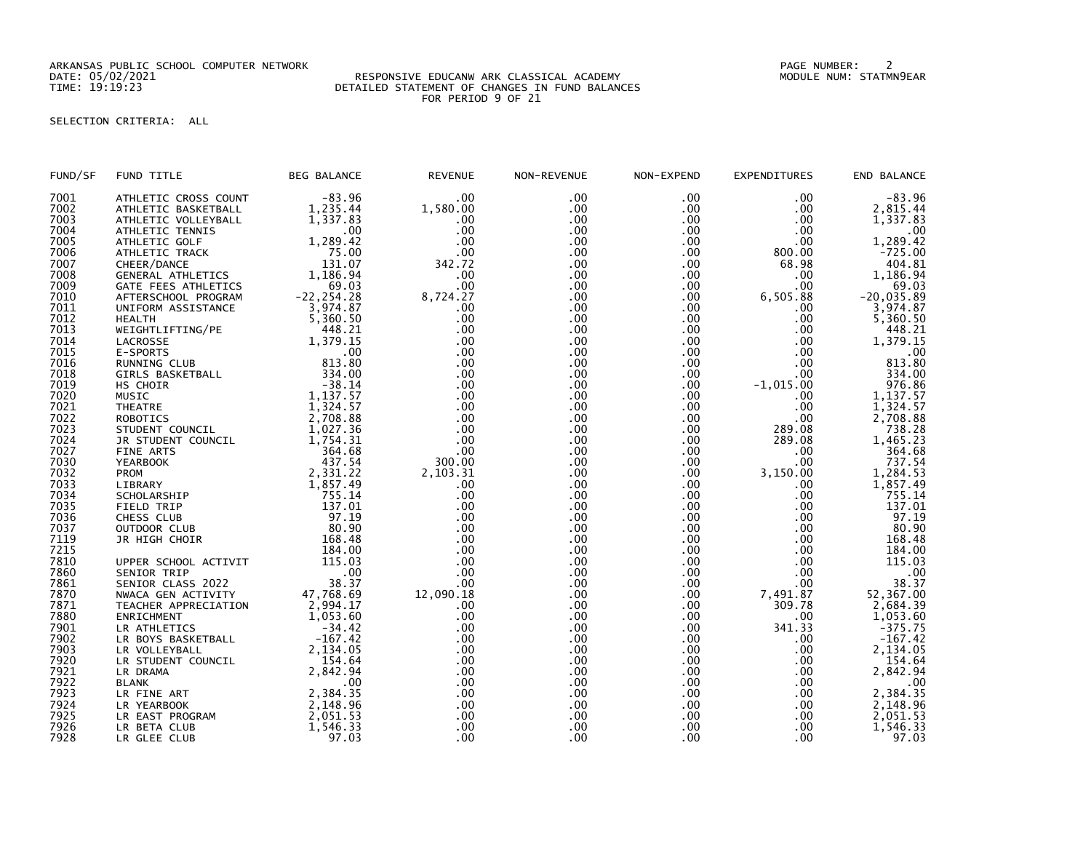ARKANSAS PUBLIC SCHOOL COMPUTER NETWORK PAGE NUMBER: 2

## DATE: 05/02/2021 RESPONSIVE EDUCANW ARK CLASSICAL ACADEMY MODULE NUM: STATMN9EAR TIME: 19:19:23 DETAILED STATEMENT OF CHANGES IN FUND BALANCES FOR PERIOD 9 OF 21

## SELECTION CRITERIA: ALL

| FUND/SF | FUND TITLE                          | <b>BEG BALANCE</b>    | <b>REVENUE</b> | NON-REVENUE | NON-EXPEND | <b>EXPENDITURES</b> | END BALANCE             |
|---------|-------------------------------------|-----------------------|----------------|-------------|------------|---------------------|-------------------------|
| 7001    | ATHLETIC CROSS COUNT                | $-83.96$              | .00            | .00         | .00        | .00                 | $-83.96$                |
| 7002    | ATHLETIC BASKETBALL                 | 1,235.44              | 1,580.00       | .00         | .00        | .00                 | 2,815.44                |
| 7003    | ATHLETIC VOLLEYBALL                 | 1,337.83              | .00            | $.00 \,$    | .00        | .00                 | 1,337.83                |
| 7004    | ATHLETIC TENNIS                     | .00                   | .00            | .00         | .00        | .00                 | .00                     |
| 7005    | ATHLETIC GOLF                       | 1,289.42              | .00            | .00         | .00        | .00                 | 1,289.42                |
| 7006    | ATHLETIC TRACK                      | 75.00                 | .00            | .00         | .00        | 800.00              | $-725.00$               |
| 7007    | CHEER/DANCE                         | 131.07                | 342.72         | $.00 \,$    | .00        | 68.98               | 404.81                  |
| 7008    | GENERAL ATHLETICS                   | 1,186.94              | .00            | .00         | .00        | .00                 | 1,186.94                |
| 7009    | GATE FEES ATHLETICS                 | 69.03                 | .00            | .00         | .00        | .00                 | 69.03                   |
| 7010    | AFTERSCHOOL PROGRAM                 | $-22, 254.28$         | 8,724.27       | .00         | .00        | 6,505.88            | $-20,035.89$            |
| 7011    | UNIFORM ASSISTANCE                  | 3,974.87              | .00            | .00         | .00        | .00                 | 3,974.87                |
| 7012    | <b>HEALTH</b>                       | 5,360.50              | .00            | .00.        | .00        | .00                 | 5,360.50                |
| 7013    | WEIGHTLIFTING/PE                    | 448.21                | .00            | .00         | .00        | .00                 | 448.21                  |
| 7014    | LACROSSE                            | 1,379.15              | .00            | .00         | .00        | .00                 | 1,379.15                |
| 7015    | E-SPORTS                            | .00                   | .00            | .00         | .00        | .00                 | .00                     |
| 7016    | RUNNING CLUB                        | 813.80                | .00            | .00         | .00        | .00                 | 813.80                  |
| 7018    | GIRLS BASKETBALL                    | 334.00                | .00            | .00.        | .00        | .00.                | 334.00                  |
| 7019    | HS CHOIR                            | $-38.14$              | .00            | .00         | .00        | $-1,015.00$         | 976.86                  |
| 7020    | MUSIC                               | 1,137.57              | .00            | .00         | .00        | .00                 |                         |
| 7021    | <b>THEATRE</b>                      | 1,324.57              | .00            | .00         | .00        | .00                 | 1, 137.57<br>1, 324.57  |
| 7022    | ROBOTICS                            | 2,708.88              | .00            | .00         | .00        | .00                 | 2,708.88                |
| 7023    | STUDENT COUNCIL                     | 1,027.36              | .00            | .00         | .00        | 289.08              | 738.28                  |
| 7024    | JR STUDENT COUNCIL                  | 1,754.31              | .00            | .00         | .00        | 289.08              | 1,465.23                |
| 7027    | FINE ARTS                           | 364.68                | .00            | .00         | .00        | .00                 | 364.68                  |
| 7030    | <b>YEARBOOK</b>                     | 437.54                | 300.00         | .00         | .00        | .00                 | 737.54                  |
| 7032    | <b>PROM</b>                         | 2,331.22              | 2,103.31       | .00.        | .00        | 3,150.00            | 1,284.53                |
| 7033    | LIBRARY                             | 1,857.49              | .00            | .00         | .00        | .00                 | 1,857.49                |
| 7034    | SCHOLARSHIP                         | 755.14                | .00            | .00.        | .00        | .00.                | 755.14                  |
| 7035    | FIELD TRIP                          | 137.01                | .00            | .00         | $.00 \,$   | .00                 | 137.01                  |
| 7036    | CHESS CLUB                          | 97.19                 | .00            | $.00 \,$    | .00        | .00                 | 97.19                   |
| 7037    | OUTDOOR CLUB                        | 80.90                 | .00            | .00         | $.00 \,$   | $.00 \,$            | 80.90                   |
| 7119    |                                     | 168.48                | .00            | .00         | .00        | .00                 | 168.48                  |
| 7215    | JR HIGH CHOIR                       | 184.00                | .00            | .00         | .00        | .00                 | 184.00                  |
| 7810    |                                     | 115.03                | .00            | $.00 \,$    | .00        | .00                 | 115.03                  |
| 7860    | UPPER SCHOOL ACTIVIT<br>SENIOR TRIP | .00                   | .00            | .00         | .00        | .00                 |                         |
| 7861    | SENIOR CLASS 2022                   | 38.37                 | .00            | .00         | .00        | .00                 | .00<br>38.37            |
| 7870    |                                     |                       | 12,090.18      | .00         |            |                     |                         |
|         | NWACA GEN ACTIVITY                  | 47,768.69<br>2,994.17 | .00            | .00         | .00<br>.00 | 7,491.87<br>309.78  | 52, 367.00<br>2, 684.39 |
| 7871    | TEACHER APPRECIATION                |                       |                |             |            |                     |                         |
| 7880    | ENRICHMENT                          | 1.053.60              | .00            | .00         | .00        | .00                 | 1,053.60                |
| 7901    | LR ATHLETICS                        | $-34.42$              | .00            | .00         | .00        | 341.33              | $-375.75$               |
| 7902    | LR BOYS BASKETBALL                  | $-167.42$             | .00            | .00         | .00        | .00                 | $-167.42$               |
| 7903    | LR VOLLEYBALL                       | 2,134.05              | .00            | .00         | .00        | .00                 | 2,134.05                |
| 7920    | LR STUDENT COUNCIL                  | 154.64                | .00            | $.00 \,$    | .00        | .00                 | 154.64                  |
| 7921    | LR DRAMA                            | 2,842.94              | .00            | .00         | .00.       | .00                 | 2,842.94                |
| 7922    | <b>BLANK</b>                        | .00                   | .00            | .00         | .00        | .00                 | .00                     |
| 7923    | LR FINE ART                         | 2,384.35              | .00            | .00         | .00        | .00                 | 2,384.35                |
| 7924    | LR YEARBOOK                         | 2,148.96              | .00            | .00         | .00        | $.00 \,$            | 2,148.96                |
| 7925    | LR EAST PROGRAM                     | 2,051.53              | .00            | .00         | .00        | .00                 | 2,051.53                |
| 7926    | LR BETA CLUB                        | 1,546.33              | .00            | .00         | .00        | .00                 | 1,546.33                |
| 7928    | LR GLEE CLUB                        | 97.03                 | .00            | .00         | .00        | .00                 | 97.03                   |